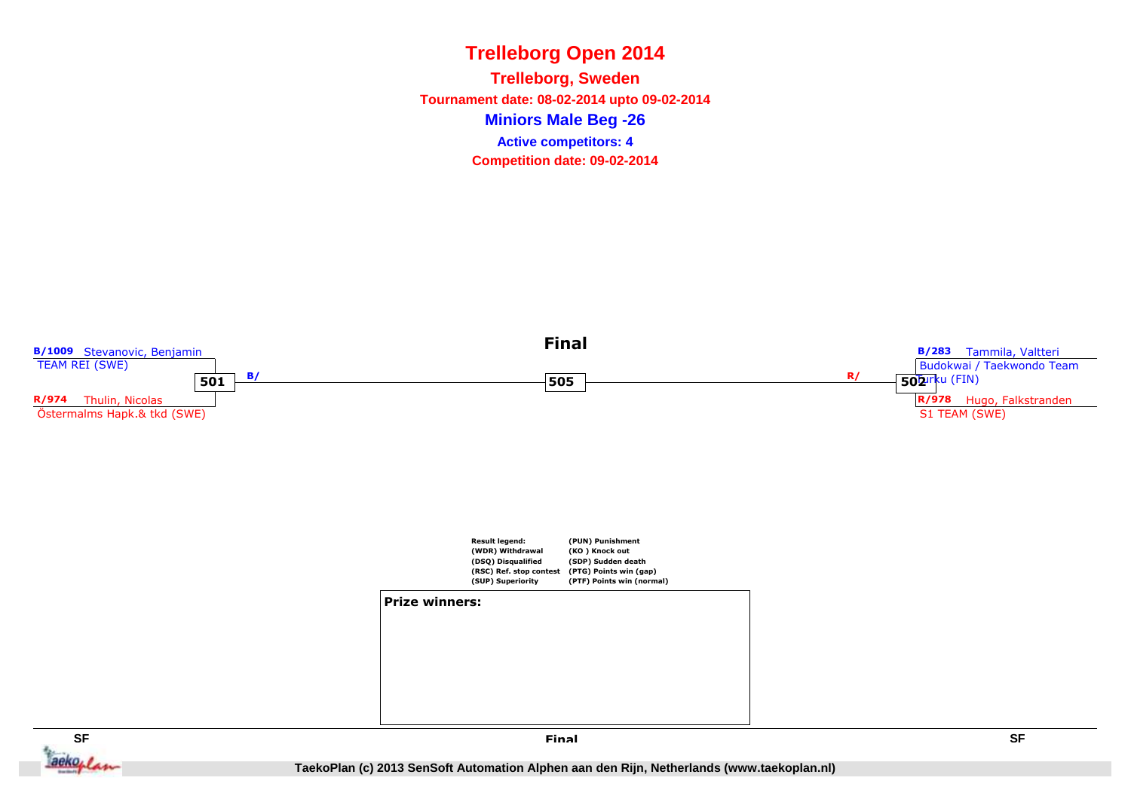**Miniors Male Beg -26Trelleborg, Sweden Tournament date: 08-02-2014 upto 09-02-2014Competition date: 09-02-2014 Active competitors: 4**

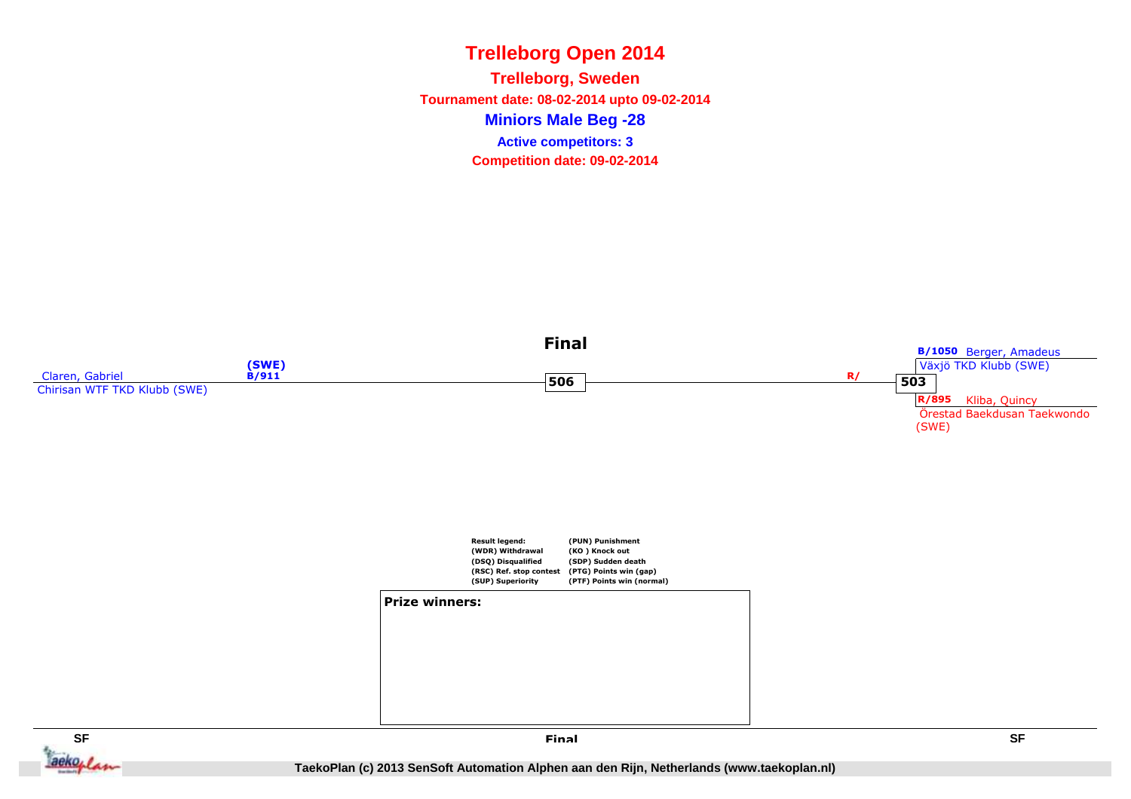**Miniors Male Beg -28Trelleborg, Sweden Tournament date: 08-02-2014 upto 09-02-2014Competition date: 09-02-2014 Active competitors: 3**



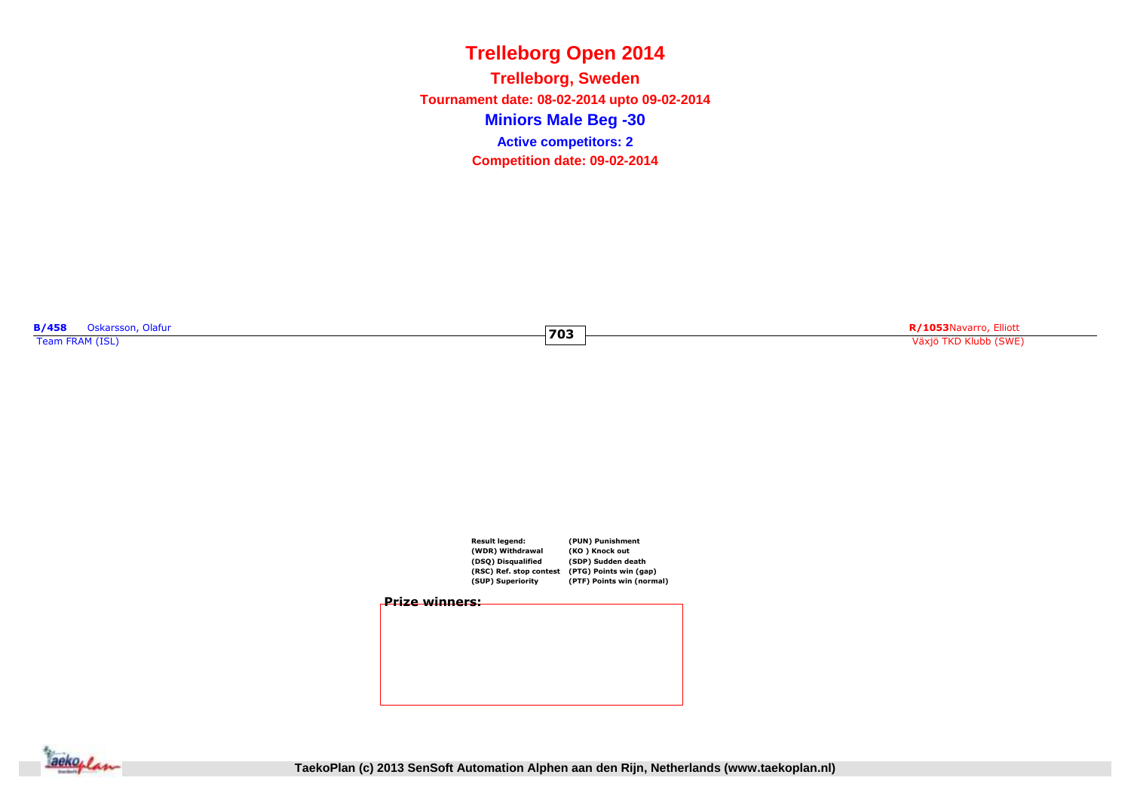**Miniors Male Beg -30Trelleborg, Sweden Tournament date: 08-02-2014 upto 09-02-2014Competition date: 09-02-2014 Active competitors: 2**

**703**

**B/458** Oskarsson, Olafur **Team FRAM (ISL)**<br>Team FRAM (ISL)

**R/1053**Navarro, Elliott Växjö TKD Klubb (SWE)



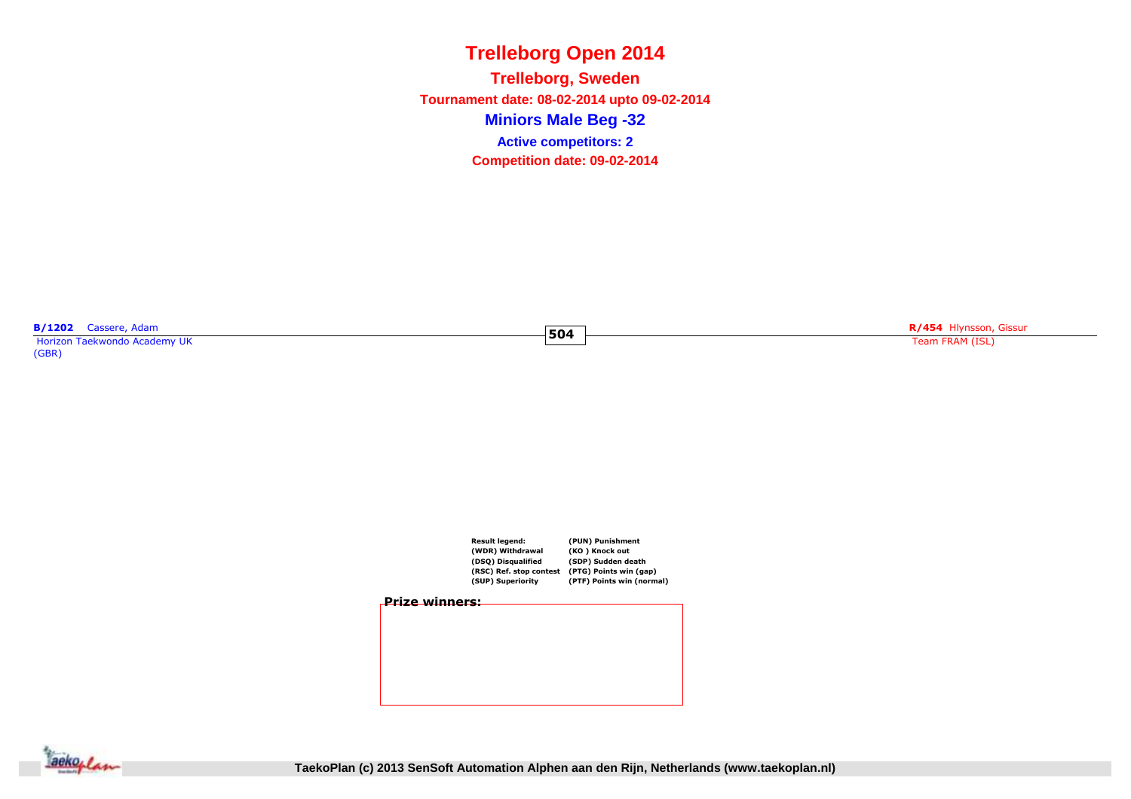**Miniors Male Beg -32Trelleborg, Sweden Tournament date: 08-02-2014 upto 09-02-2014Competition date: 09-02-2014 Active competitors: 2**

**504**

**B/1202** Cassere, Adam<br>Horizon Taekwondo Academy UK

(GBR)

**R/454** Hlynsson, Gissur

Team FRAM (ISL)







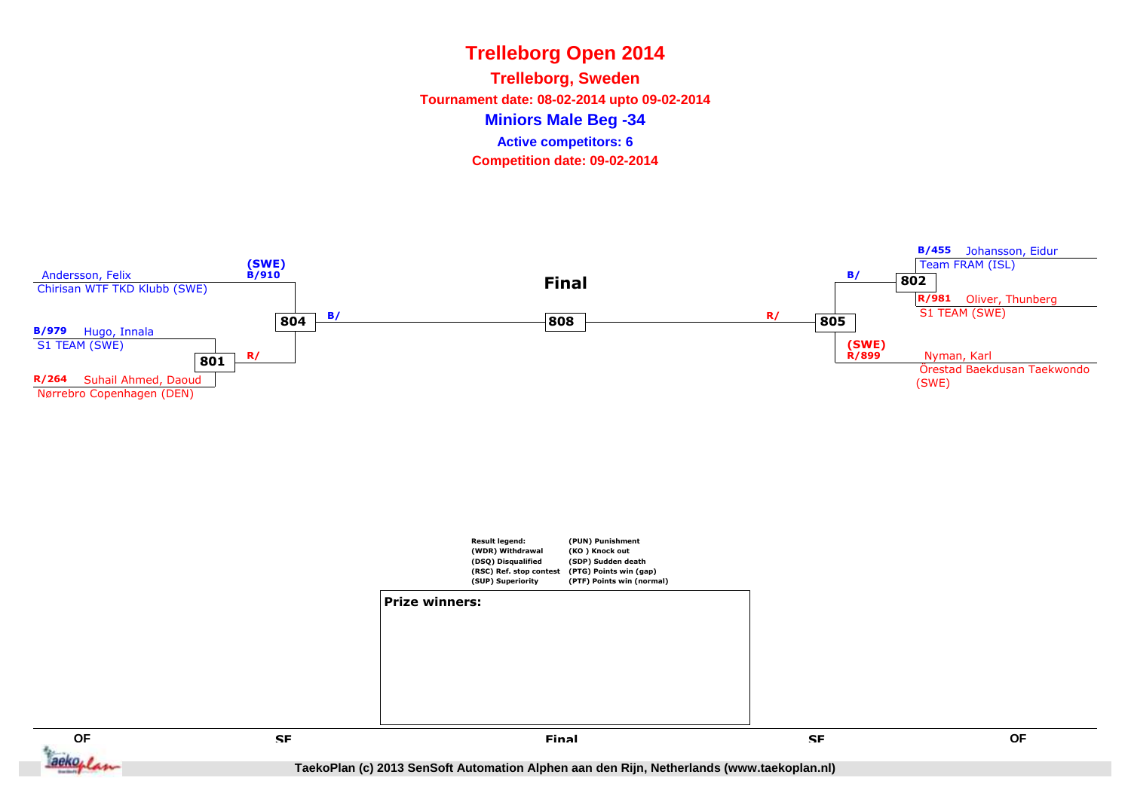**Miniors Male Beg -34Trelleborg, Sweden Tournament date: 08-02-2014 upto 09-02-2014Competition date: 09-02-2014 Active competitors: 6**

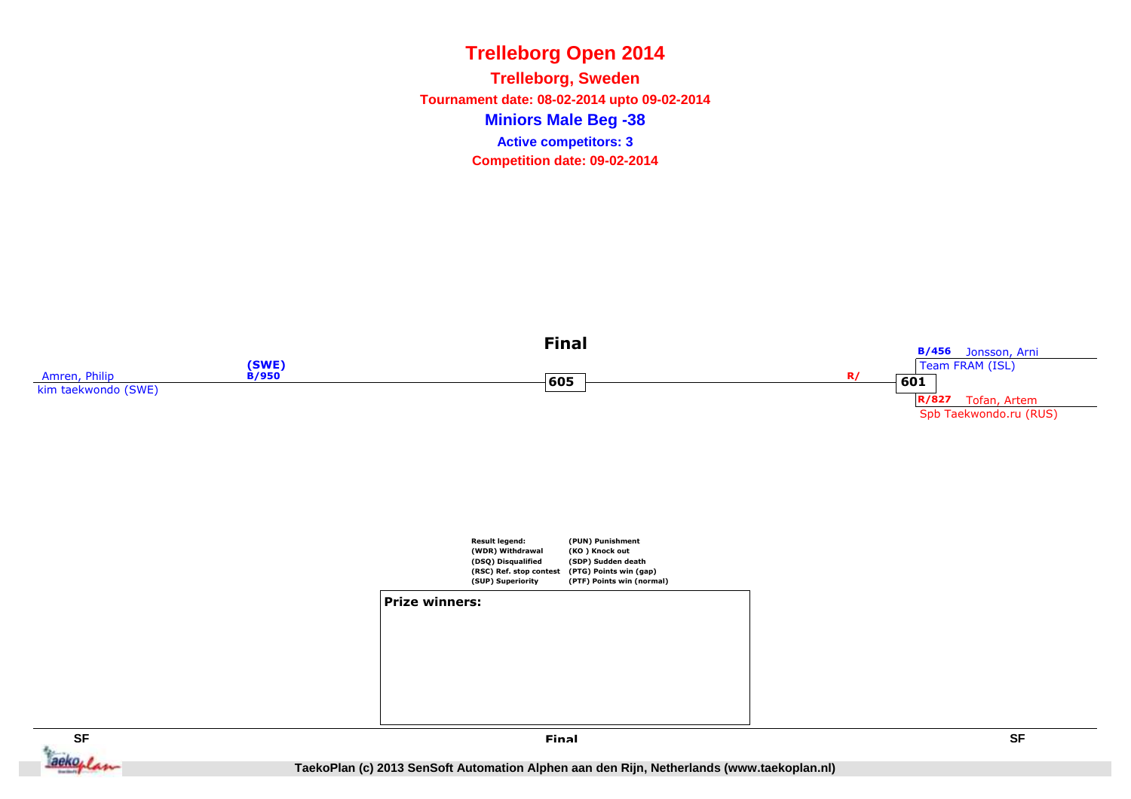**Miniors Male Beg -38Trelleborg, Sweden Tournament date: 08-02-2014 upto 09-02-2014Competition date: 09-02-2014 Active competitors: 3**



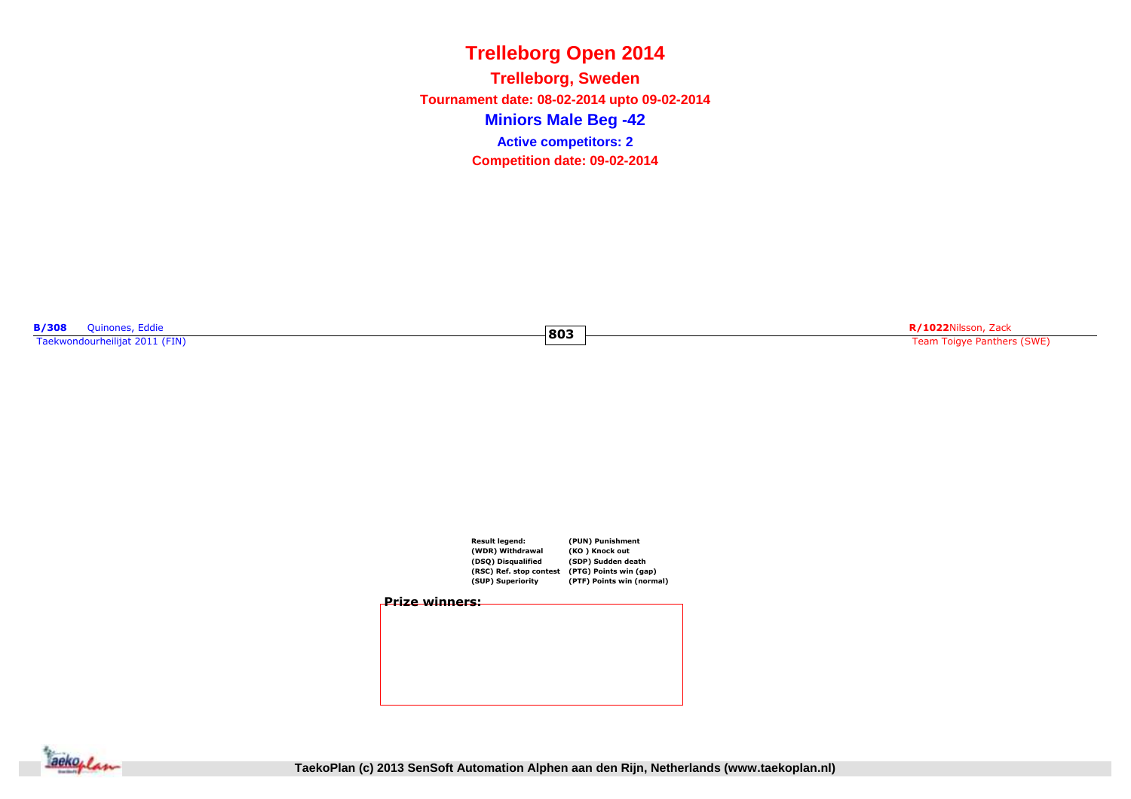**Miniors Male Beg -42Trelleborg, Sweden Tournament date: 08-02-2014 upto 09-02-2014Competition date: 09-02-2014 Active competitors: 2**

**803**

**B/308** Quinones, Eddie<br>Taekwondourheilijat 2011 (FIN)

**R/1022**Nilsson, Zack Team Toigye Panthers (SWE)



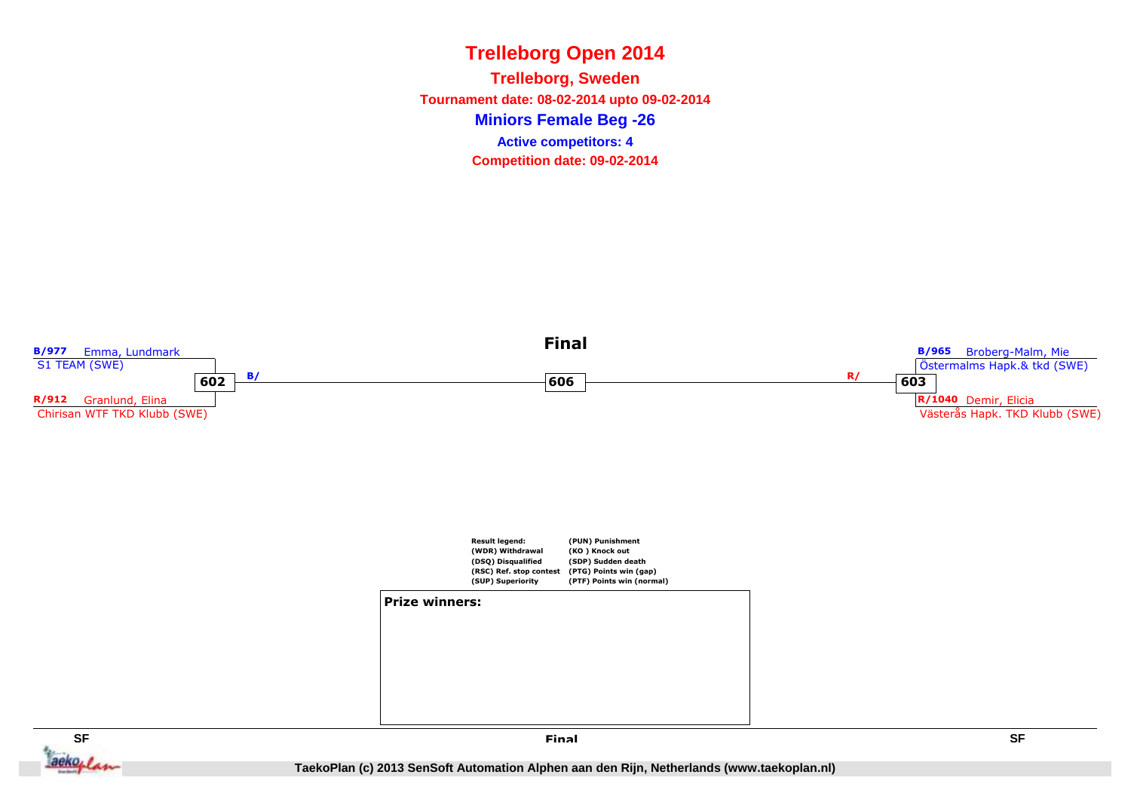**Miniors Female Beg -26Trelleborg, Sweden Tournament date: 08-02-2014 upto 09-02-2014Competition date: 09-02-2014 Active competitors: 4**



**SF**ackoplan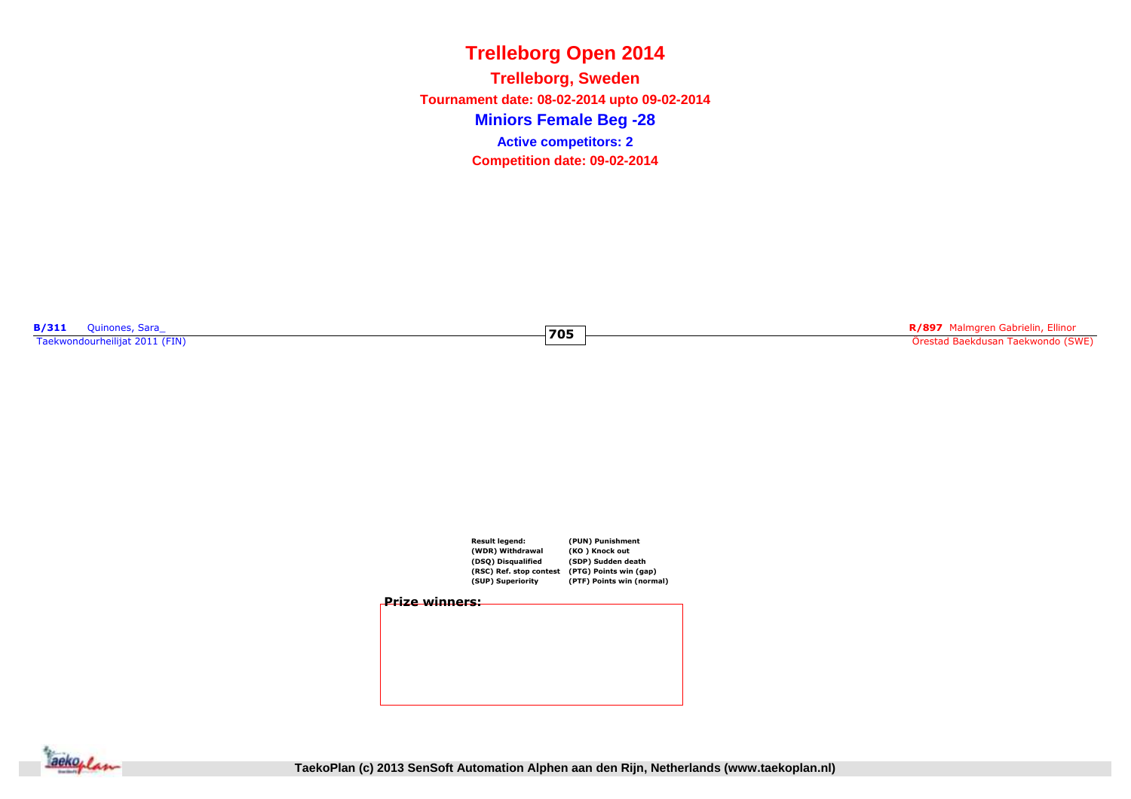**Miniors Female Beg -28Trelleborg, Sweden Tournament date: 08-02-2014 upto 09-02-2014Competition date: 09-02-2014 Active competitors: 2**

**705**

**B/311** Quinones, Sara\_ Taekwondourheilijat 2011 (FIN)

**R/897** Malmgren Gabrielin, Ellinor Örestad Baekdusan Taekwondo (SWE)



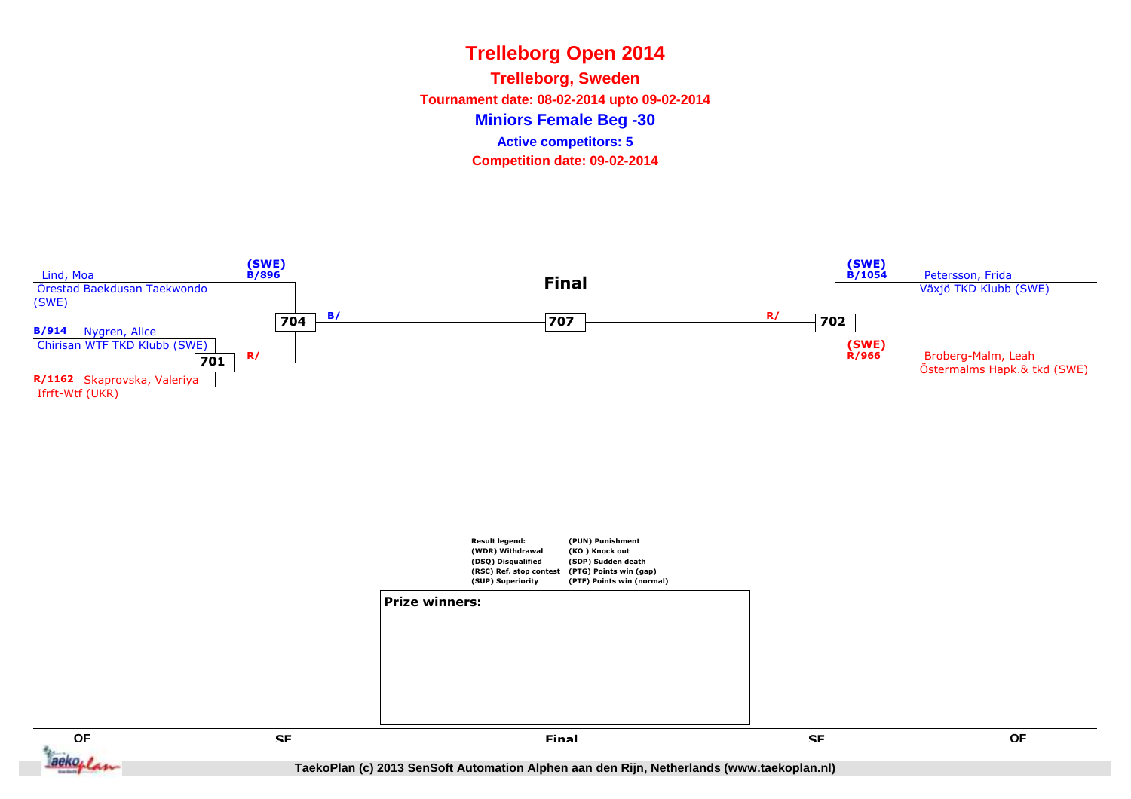**Miniors Female Beg -30Trelleborg, Sweden Tournament date: 08-02-2014 upto 09-02-2014Competition date: 09-02-2014 Active competitors: 5**





**QF**

ackoflan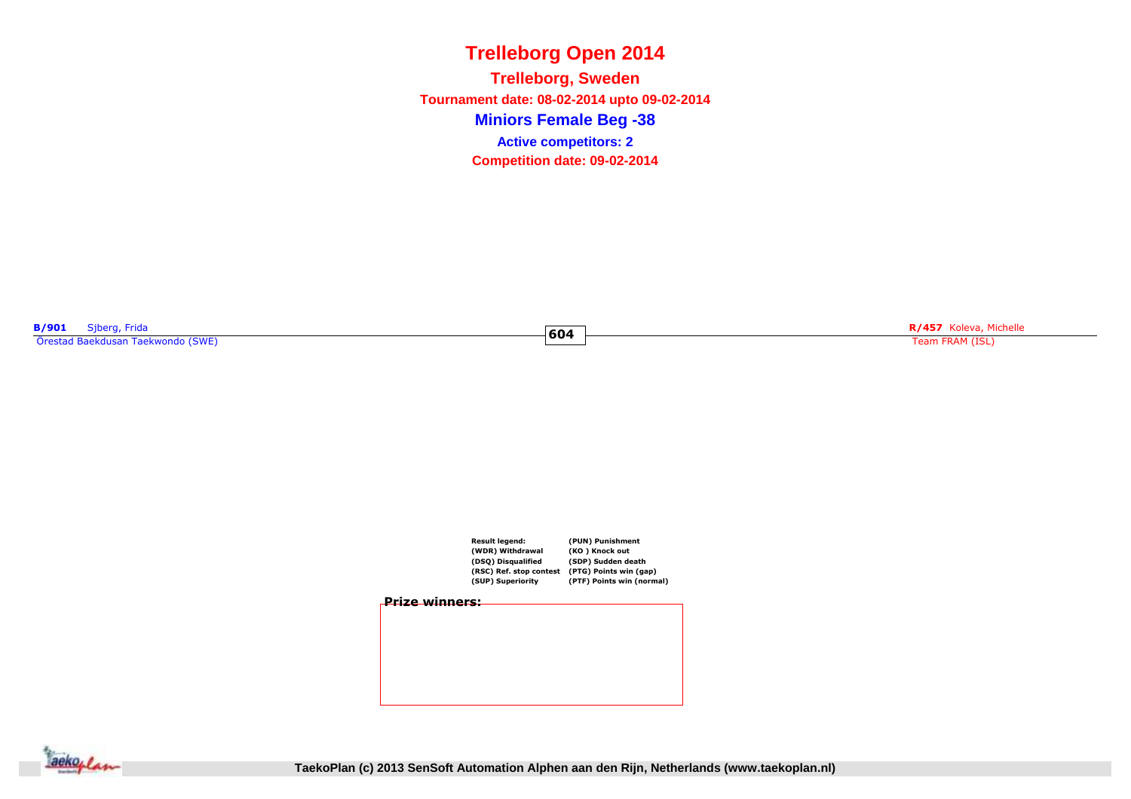**Miniors Female Beg -38Trelleborg, Sweden Tournament date: 08-02-2014 upto 09-02-2014Competition date: 09-02-2014 Active competitors: 2**

**604**

**B/901** Sjberg, Frida Örestad Baekdusan Taekwondo (SWE)

**Exhibition of the Contract of Contract of the Contract of Contract of Contract of Team FRAM (ISL)**<br>Team FRAM (ISL)



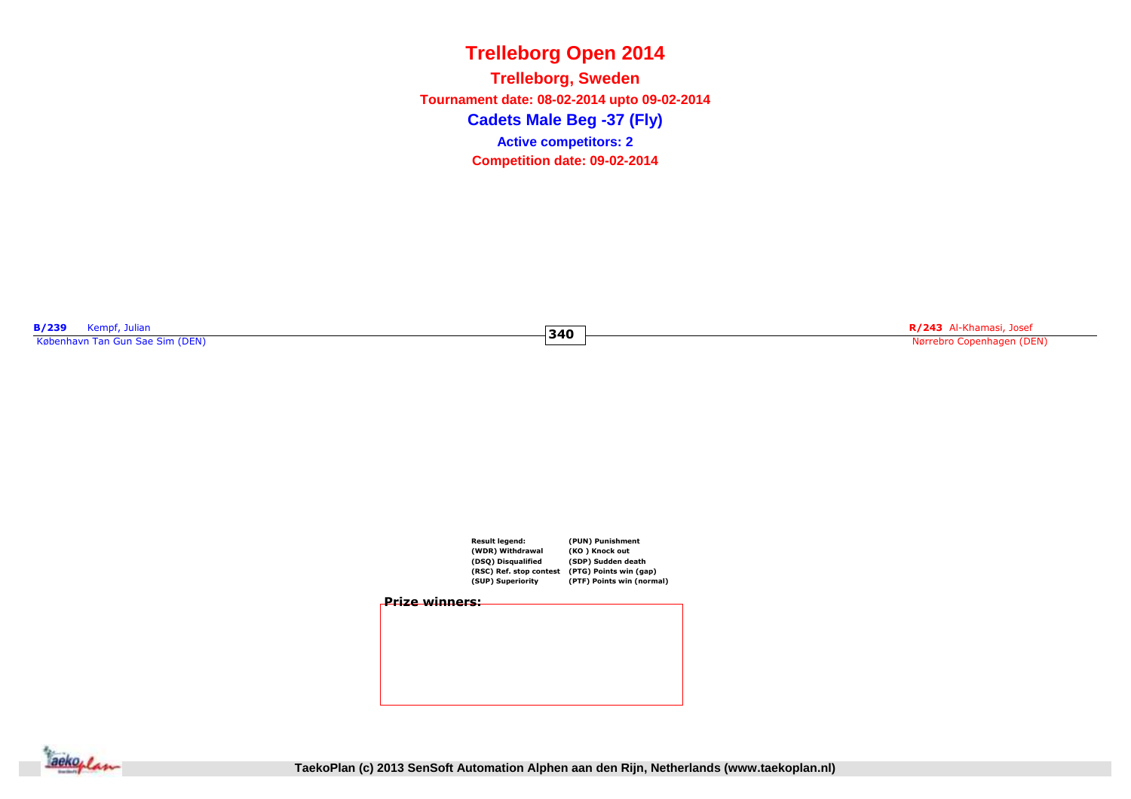# **Trelleborg Open 2014Cadets Male Beg -37 (Fly)Trelleborg, Sweden Tournament date: 08-02-2014 upto 09-02-2014Competition date: 09-02-2014 Active competitors: 2**

**340**

**B/239** Kempf, Julian<br>København Tan Gun Sae Sim (DEN)

**R/243** Al-Khamasi, Josef Nørrebro Copenhagen (DEN)



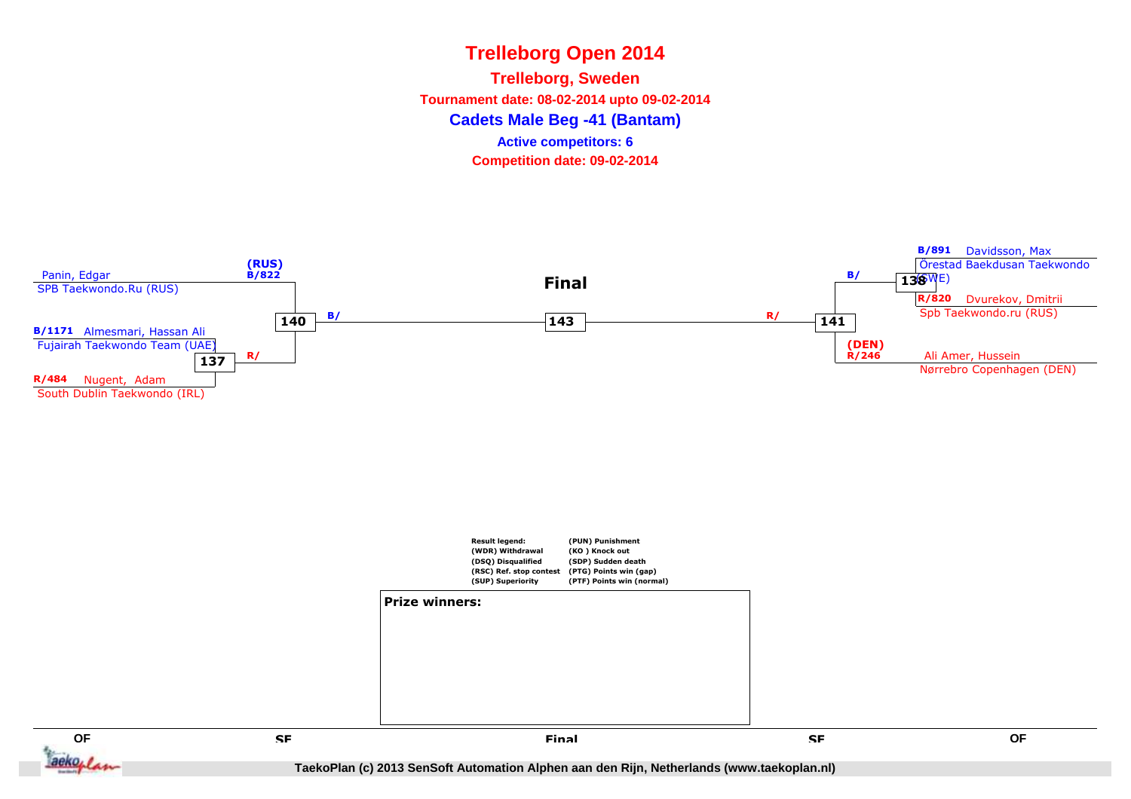# **Trelleborg Open 2014Cadets Male Beg -41 (Bantam)Trelleborg, Sweden Tournament date: 08-02-2014 upto 09-02-2014Competition date: 09-02-2014 Active competitors: 6**







**TaekoPlan (c) 2013 SenSoft Automation Alphen aan den Rijn, Netherlands (www.taekoplan.nl)**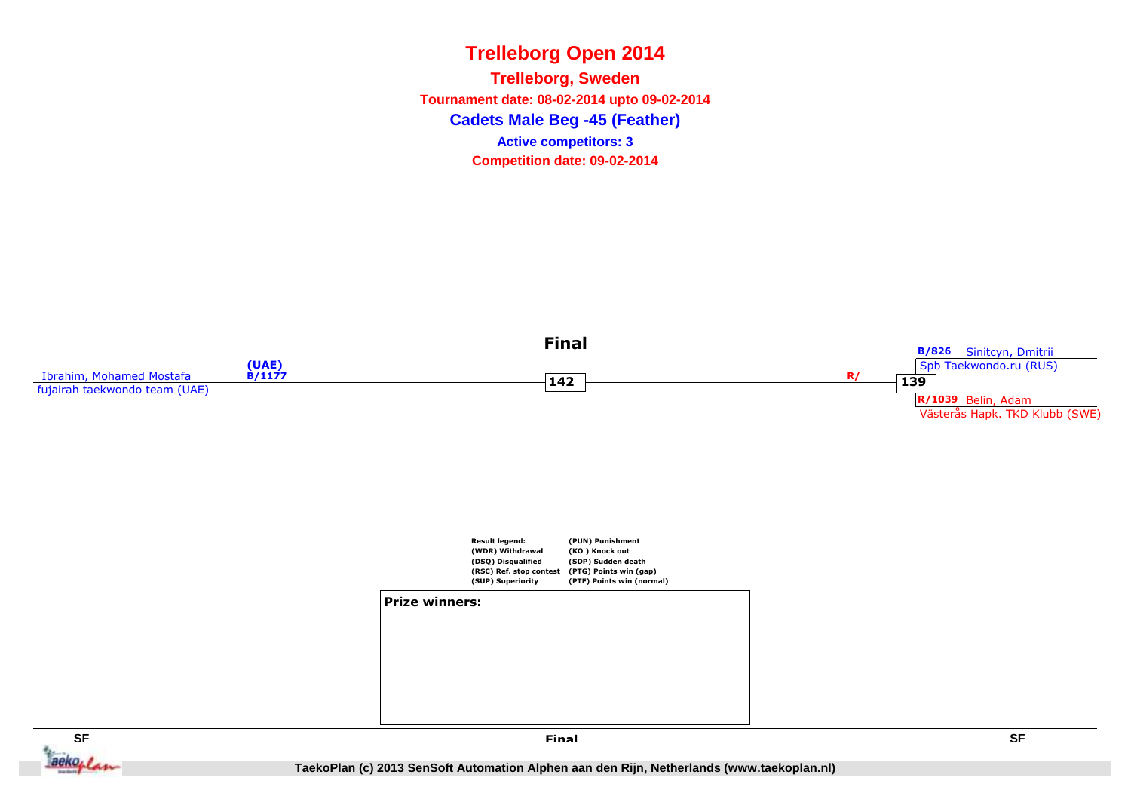**Cadets Male Beg -45 (Feather)Trelleborg, Sweden Tournament date: 08-02-2014 upto 09-02-2014Competition date: 09-02-2014 Active competitors: 3**





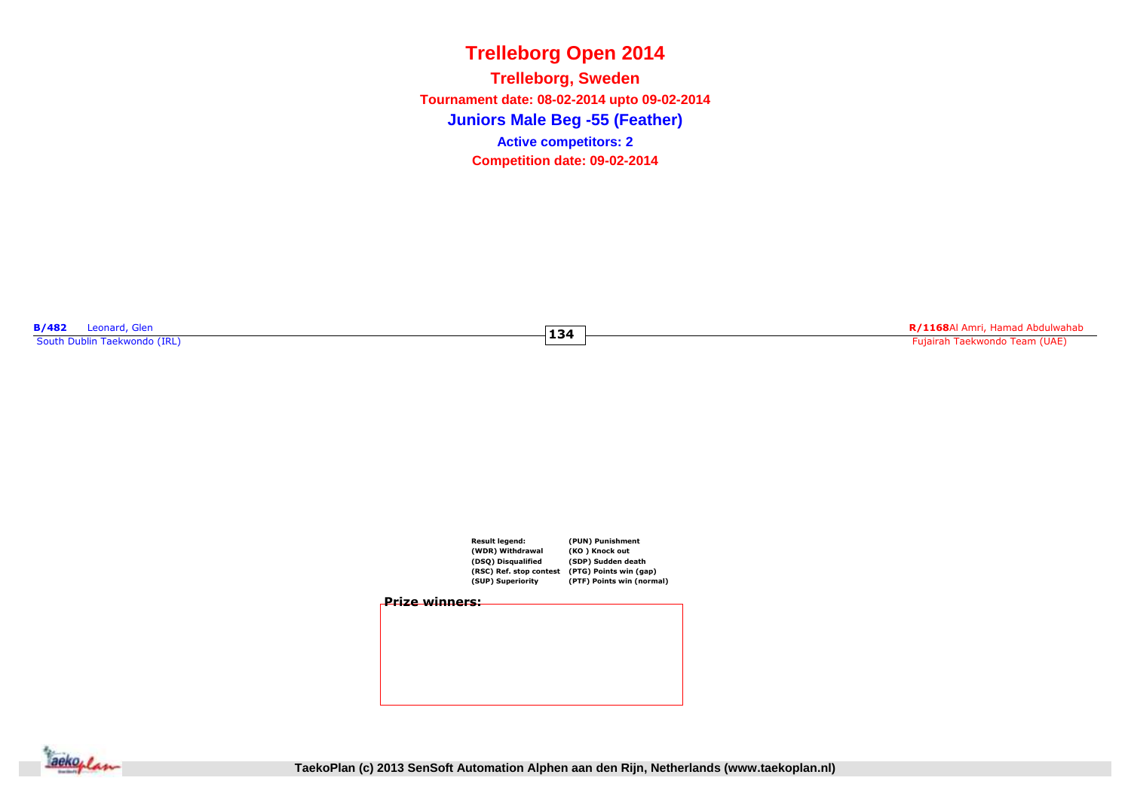**Juniors Male Beg -55 (Feather)Trelleborg, Sweden Tournament date: 08-02-2014 upto 09-02-2014Competition date: 09-02-2014 Active competitors: 2**

**134**

**B/482** Leonard, Glen<br>South Dublin Taekwondo (IRL)

**R/1168**Al Amri, Hamad Abdulwahab Fujairah Taekwondo Team (UAE)